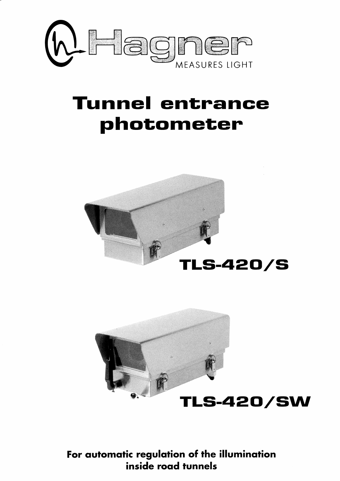

# **Tunnel entrance** photometer





For automatic regulation of the illumination inside road tunnels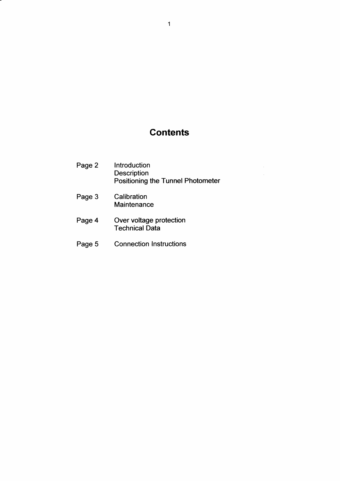## **Contents**

- Page 2 Introduction **Description** Positioning the Tunnel Photometer
- Page 3 Calibration **Maintenance**
- Page 4 Over voltage protectior Technical Data
- Page 5 Connection Instructions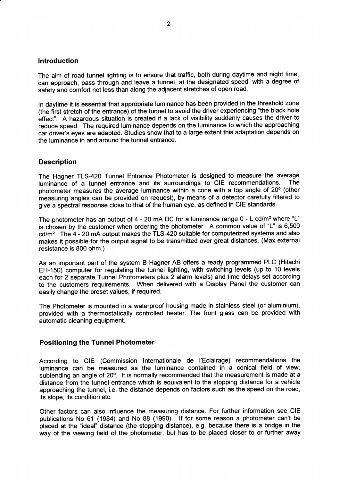#### lntroduction

The aim of road tunnel lighting is to ensure that traffic, both during daytime and night time, can approach, pass through and leave a tunnel, at the designated speed, with a degree of safety and comfort not less than along the adjacent stretches of open road.

ln daytime it is essential that appropriate luminance has been provided in the threshold zone (the first stretch of the entrance) of the tunnel to avoid the driver experiencing "the black hole effect'. A hazardous situation is created if a lack of visibility suddenly causes the driver to reduce speed. The required luminance depends on the luminance to which the approaching car driver's eyes are adapted. Studies show that to a large extent this adaptation depends on the luminance in and around the tunnel entrance.

#### **Description**

The Hagner TLS-420 Tunnel Entrance Photometer is designed to measure the average<br>Juminance of a tunnel entrance and its surroundings to CIF recommendations. The luminance of a tunnel entrance and its surroundings to CIE recommendations. photometer measures the average luminance within a cone with a top angle of  $20^{\circ}$  (other measuring angles can be provided on request), by means of a detector carefully filtered to give a spectral response close to that of the human eye, as defined in CIE standards.

The photometer has an output of 4 - 20 mA DC for a luminance range 0 - L cd/m<sup>2</sup> where "L" is chosen by the customer when ordering the photometer. A common value of "L" is 6,500  $cd/m<sup>2</sup>$ . The  $4 - 20$  mA output makes the TLS-420 suitable for computerized systems and also makes it possible for the output signal to be transmitted over great distances. (Max external resistance is 800 ohm.)

As an important part of the system B Hagner AB offers a ready programmed PLC (Hitachi EH-150) computer for regulating the tunnel lighting, with switching levels (up to 10 levels each for 2 separate Tunnel Photometers plus 2 alarm levels) and time delays set according to the customers requirements. When delivered with a Display Panel the customer can easily change the preset values, if required.

The Photometer is mounted in a waterproof housing made in stainless steel (or aluminium), provided with a thermostatically controlled heater. The front glass can be provided with automatic cleaning equipment.

#### Positioning the Tunnel Photometer

According to CIE (Commission Internationale de I'Eclairage) recommendations the luminance can be measured as the luminance contained in a conical field of view, subtending an angle of 20°. It is normally recommended that the measurement is made at a distance from the tunnel entrance which is equivalent to the stopping distance for a vehicle approaching the tunnel, i.e. the distance depends on factors such as the speed on the road, its slope, its condition etc.

Other factors can also influence the measuring distance. For further information see CIE publications No 61 (1984) and No 88 (1990). lf for some reason a photometer can't be placed at the "ideal" distance (the stopping distance), e.g. because there is a bridge in the way of the viewing field of the photometer, but has to be placed closer to or further away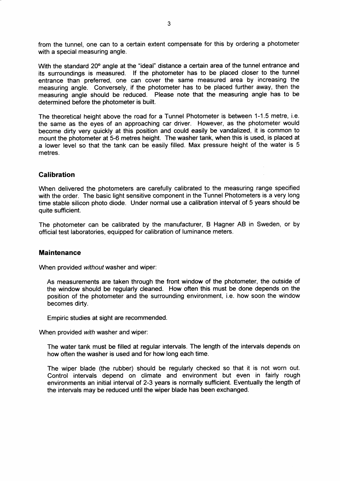from the tunnel, one can to a certain extent compensate for this by ordering a photometer with a special measuring angle.

With the standard 20° angle at the "ideal" distance a certain area of the tunnel entrance and its surroundings is measured. lf the photometer has to be placed closer to the tunnel entrance than preferred, one can cover the same measured area by increasing the measuring angle. Conversely, if the photometer has to be placed further away, then the measuring angle should be reduced. Please note that the measuring angle has to be determined before the photometer is built.

The theoretical height above the road for a Tunnel Photometer is between 1-1.5 metre, i.e. the same as the eyes of an approaching car driver. However, as the photometer would become dirty very quickly at this position and could easily be vandalized, it is common to mount the photometer at 5-6 metres height. The washer tank, when this is used, is placed at a lower level so that the tank can be easily filled. Max pressure height of the water is 5 metres.

#### Galibration

When delivered the photometers are carefully calibrated to the measuring range specified with the order. The basic light sensitive component in the Tunnel Photometers is a very long time stable silicon photo diode. Under normal use a calibration interval of 5 years should be quite sufficient.

The photometer can be calibrated by the manufacturer, B Hagner AB in Sweden, or by official test laboratories, equipped for calibration of luminance meters.

#### **Maintenance**

When provided without washer and wiper:

As measurements are taken through the front window of the photometer, the outside of the window should be regularly cleaned. How often this must be done depends on the position of the photometer and the surrounding environment, i.e. how soon the window becomes dirty.

Empiric studies at sight are recommended.

When provided wifh washer and wiper:

The water tank must be filled at regular intervals. The length of the intervals depends on how often the washer is used and for how long each time.

The wiper blade (the rubber) should be regularly checked so that it is not worn out. Control intervals depend on climate and environment but even in fairly rough environments an initial interval of 2-3 years is normally sufficient. Eventually the length of the intervals may be reduced until the wiper blade has been exchanged.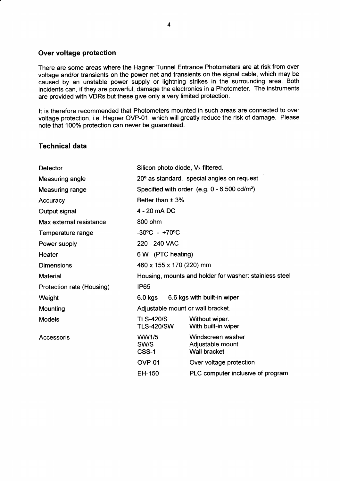#### Over voltage protection

There are some areas where the Hagner Tunnel Entrance Photometers are at risk from over voltage and/or transients on the power net and transients on the signal cable, which may be caused by an unstable power supply or lightning strikes in the surrounding area. Both incidents can, if they are powerful, damage the electronics in a Photometer. The instruments are provided with VDRs but these give only a very limited protection.

It is therefore recommended that Photometers mounted in such areas are connected to over voltage protection, i.e. Hagner OVP-01, which will greatly reduce the risk of damage. Please note that 100% protection can never be guaranteed.

#### Technical data

| Detector                  | Silicon photo diode, $V_{\lambda}$ -filtered.          |                                                       |  |
|---------------------------|--------------------------------------------------------|-------------------------------------------------------|--|
| Measuring angle           | 20° as standard, special angles on request             |                                                       |  |
| Measuring range           | Specified with order $(e.g. 0 - 6,500 \text{ cd/m}^2)$ |                                                       |  |
| Accuracy                  | Better than $\pm$ 3%                                   |                                                       |  |
| Output signal             | 4 - 20 mA DC                                           |                                                       |  |
| Max external resistance   | 800 ohm                                                |                                                       |  |
| Temperature range         | $-30^{\circ}$ C - $+70^{\circ}$ C                      |                                                       |  |
| Power supply              | 220 - 240 VAC                                          |                                                       |  |
| Heater                    | 6 W (PTC heating)                                      |                                                       |  |
| <b>Dimensions</b>         | 460 x 155 x 170 (220) mm                               |                                                       |  |
| <b>Material</b>           | Housing, mounts and holder for washer: stainless steel |                                                       |  |
| Protection rate (Housing) | <b>IP65</b>                                            |                                                       |  |
| Weight                    | 6.6 kgs with built-in wiper<br>6.0 kgs                 |                                                       |  |
| Mounting                  | Adjustable mount or wall bracket.                      |                                                       |  |
| <b>Models</b>             | <b>TLS-420/S</b><br><b>TLS-420/SW</b>                  | Without wiper.<br>With built-in wiper                 |  |
| Accessoris                | WW1/5<br>SW/S<br>CSS-1                                 | Windscreen washer<br>Adjustable mount<br>Wall bracket |  |
|                           | <b>OVP-01</b>                                          | Over voltage protection                               |  |
|                           | EH-150                                                 | PLC computer inclusive of program                     |  |